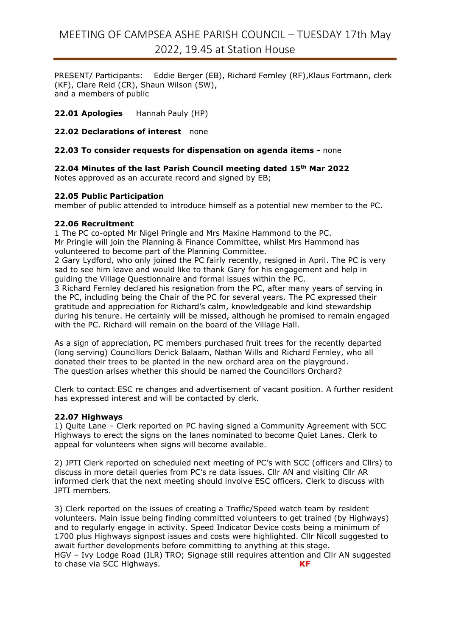# MEETING OF CAMPSEA ASHE PARISH COUNCIL – TUESDAY 17th May 2022, 19.45 at Station House

PRESENT/ Participants: Eddie Berger (EB), Richard Fernley (RF),Klaus Fortmann, clerk (KF), Clare Reid (CR), Shaun Wilson (SW), and a members of public

**22.01 Apologies** Hannah Pauly (HP)

**22.02 Declarations of interest** none

#### **22.03 To consider requests for dispensation on agenda items -** none

**22.04 Minutes of the last Parish Council meeting dated 15 th Mar 2022** Notes approved as an accurate record and signed by EB;

**22.05 Public Participation**

member of public attended to introduce himself as a potential new member to the PC.

#### **22.06 Recruitment**

1 The PC co-opted Mr Nigel Pringle and Mrs Maxine Hammond to the PC. Mr Pringle will join the Planning & Finance Committee, whilst Mrs Hammond has volunteered to become part of the Planning Committee.

2 Gary Lydford, who only joined the PC fairly recently, resigned in April. The PC is very sad to see him leave and would like to thank Gary for his engagement and help in guiding the Village Questionnaire and formal issues within the PC.

3 Richard Fernley declared his resignation from the PC, after many years of serving in the PC, including being the Chair of the PC for several years. The PC expressed their gratitude and appreciation for Richard's calm, knowledgeable and kind stewardship during his tenure. He certainly will be missed, although he promised to remain engaged with the PC. Richard will remain on the board of the Village Hall.

As a sign of appreciation, PC members purchased fruit trees for the recently departed (long serving) Councillors Derick Balaam, Nathan Wills and Richard Fernley, who all donated their trees to be planted in the new orchard area on the playground. The question arises whether this should be named the Councillors Orchard?

Clerk to contact ESC re changes and advertisement of vacant position. A further resident has expressed interest and will be contacted by clerk.

# **22.07 Highways**

1) Quite Lane – Clerk reported on PC having signed a Community Agreement with SCC Highways to erect the signs on the lanes nominated to become Quiet Lanes. Clerk to appeal for volunteers when signs will become available.

2) JPTI Clerk reported on scheduled next meeting of PC's with SCC (officers and Cllrs) to discuss in more detail queries from PC's re data issues. Cllr AN and visiting Cllr AR informed clerk that the next meeting should involve ESC officers. Clerk to discuss with JPTI members.

3) Clerk reported on the issues of creating a Traffic/Speed watch team by resident volunteers. Main issue being finding committed volunteers to get trained (by Highways) and to regularly engage in activity. Speed Indicator Device costs being a minimum of 1700 plus Highways signpost issues and costs were highlighted. Cllr Nicoll suggested to await further developments before committing to anything at this stage. HGV – Ivy Lodge Road (ILR) TRO; Signage still requires attention and Cllr AN suggested to chase via SCC Highways. **KF**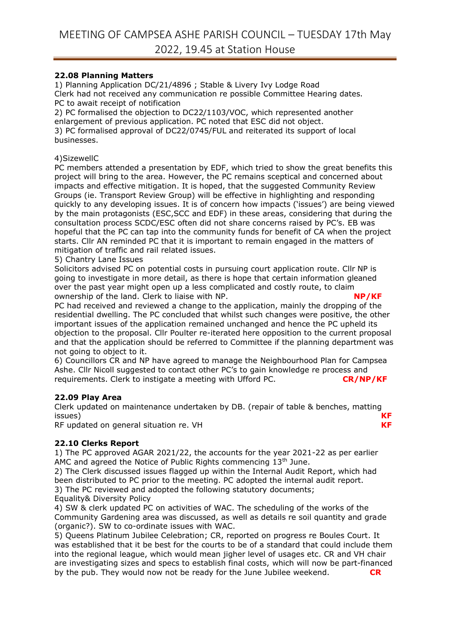# **22.08 Planning Matters**

1) Planning Application DC/21/4896 ; Stable & Livery Ivy Lodge Road Clerk had not received any communication re possible Committee Hearing dates. PC to await receipt of notification

2) PC formalised the objection to DC22/1103/VOC, which represented another enlargement of previous application. PC noted that ESC did not object. 3) PC formalised approval of DC22/0745/FUL and reiterated its support of local businesses.

### 4)SizewellC

PC members attended a presentation by EDF, which tried to show the great benefits this project will bring to the area. However, the PC remains sceptical and concerned about impacts and effective mitigation. It is hoped, that the suggested Community Review Groups (ie. Transport Review Group) will be effective in highlighting and responding quickly to any developing issues. It is of concern how impacts ('issues') are being viewed by the main protagonists (ESC,SCC and EDF) in these areas, considering that during the consultation process SCDC/ESC often did not share concerns raised by PC's. EB was hopeful that the PC can tap into the community funds for benefit of CA when the project starts. Cllr AN reminded PC that it is important to remain engaged in the matters of mitigation of traffic and rail related issues.

#### 5) Chantry Lane Issues

Solicitors advised PC on potential costs in pursuing court application route. Cllr NP is going to investigate in more detail, as there is hope that certain information gleaned over the past year might open up a less complicated and costly route, to claim ownership of the land. Clerk to liaise with NP. **NP/KF** 

PC had received and reviewed a change to the application, mainly the dropping of the residential dwelling. The PC concluded that whilst such changes were positive, the other important issues of the application remained unchanged and hence the PC upheld its objection to the proposal. Cllr Poulter re-iterated here opposition to the current proposal and that the application should be referred to Committee if the planning department was not going to object to it.

6) Councillors CR and NP have agreed to manage the Neighbourhood Plan for Campsea Ashe. Cllr Nicoll suggested to contact other PC's to gain knowledge re process and requirements. Clerk to instigate a meeting with Ufford PC. requirements. Clerk to instigate a meeting with Ufford PC.

#### **22.09 Play Area**

Clerk updated on maintenance undertaken by DB. (repair of table & benches, matting issues) **KF**

RF updated on general situation re. VH **KF**

# **22.10 Clerks Report**

1) The PC approved AGAR 2021/22, the accounts for the year 2021-22 as per earlier AMC and agreed the Notice of Public Rights commencing 13<sup>th</sup> June.

2) The Clerk discussed issues flagged up within the Internal Audit Report, which had been distributed to PC prior to the meeting. PC adopted the internal audit report. 3) The PC reviewed and adopted the following statutory documents; Equality& Diversity Policy

4) SW & clerk updated PC on activities of WAC. The scheduling of the works of the Community Gardening area was discussed, as well as details re soil quantity and grade (organic?). SW to co-ordinate issues with WAC.

5) Queens Platinum Jubilee Celebration; CR, reported on progress re Boules Court. It was established that it be best for the courts to be of a standard that could include them into the regional league, which would mean jigher level of usages etc. CR and VH chair are investigating sizes and specs to establish final costs, which will now be part-financed by the pub. They would now not be ready for the June Jubilee weekend. **CR**